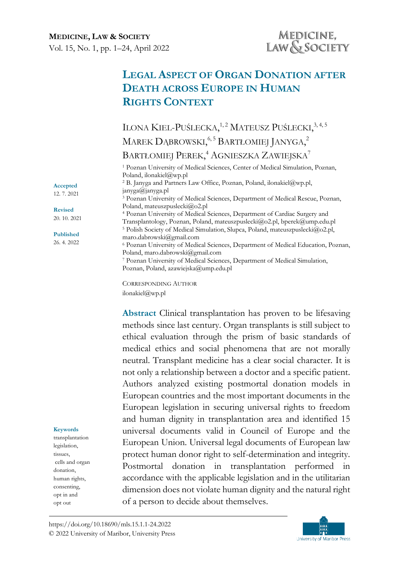**MEDICINE, LAW & SOCIETY** Vol. 15, No. 1, pp. 1–24, April 2022

# **LEGAL ASPECT OF ORGAN DONATION AFTER DEATH ACROSS EUROPE IN HUMAN RIGHTS CONTEXT**

ILONA KIEL-PUŚLECKA,<sup>1,2</sup> MATEUSZ PUŚLECKI,<sup>3,4,5</sup> MAREK DĄBROWSKI,<sup>6,5</sup> BARTŁOMIEJ JANYGA,<sup>2</sup> BARTŁOMIEJ PEREK, <sup>4</sup> AGNIESZKA ZAWIEJSKA<sup>7</sup> <sup>1</sup> Poznan University of Medical Sciences, Center of Medical Simulation, Poznan, Poland, ilonakiel@wp.pl <sup>2</sup> B. Janyga and Partners Law Office, Poznan, Poland, ilonakiel@wp.pl, janyga@janyga.pl <sup>3</sup> Poznan University of Medical Sciences, Department of Medical Rescue, Poznan,

Poland, mateuszpuslecki@o2.pl <sup>4</sup> Poznan University of Medical Sciences, Department of Cardiac Surgery and Transplantology, Poznan, Poland, mateuszpuslecki@o2.pl, bperek@ump.edu.pl <sup>5</sup> Polish Society of Medical Simulation, Slupca, Poland, mateuszpuslecki@o2.pl, maro.dabrowski@gmail.com <sup>6</sup> Poznan University of Medical Sciences, Department of Medical Education, Poznan, Poland, maro.dabrowski@gmail.com <sup>7</sup> Poznan University of Medical Sciences, Department of Medical Simulation, Poznan, Poland, azawiejska@ump.edu.pl

CORRESPONDING AUTHOR ilonakiel@wp.pl

**Abstract** Clinical transplantation has proven to be lifesaving methods since last century. Organ transplants is still subject to ethical evaluation through the prism of basic standards of medical ethics and social phenomena that are not morally neutral. Transplant medicine has a clear social character. It is not only a relationship between a doctor and a specific patient. Authors analyzed existing postmortal donation models in European countries and the most important documents in the European legislation in securing universal rights to freedom and human dignity in transplantation area and identified 15 universal documents valid in Council of Europe and the European Union. Universal legal documents of European law protect human donor right to self-determination and integrity. Postmortal donation in transplantation performed in accordance with the applicable legislation and in the utilitarian dimension does not violate human dignity and the natural right of a person to decide about themselves.

**Keywords**

**Accepted**  12. 7. 2021 **Revised** 20. 10. 2021 **Published** 26. 4. 2022

transplantation legislation, tissues, cells and organ donation, human rights, consenting, opt in and opt out

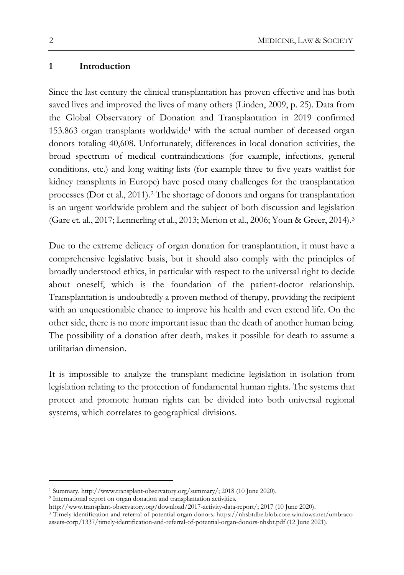### **1 Introduction**

Since the last century the clinical transplantation has proven effective and has both saved lives and improved the lives of many others (Linden, 2009, p. 25). Data from the Global Observatory of Donation and Transplantation in 2019 confirmed [1](#page-1-0)53.863 organ transplants worldwide<sup>1</sup> with the actual number of deceased organ donors totaling 40,608. Unfortunately, differences in local donation activities, the broad spectrum of medical contraindications (for example, infections, general conditions, etc.) and long waiting lists (for example three to five years waitlist for kidney transplants in Europe) have posed many challenges for the transplantation processes (Dor et al., 2011).[2](#page-1-1) The shortage of donors and organs for transplantation is an urgent worldwide problem and the subject of both discussion and legislation (Gare et. al., 2017; Lennerling et al., 2013; Merion et al., 2006; Youn & Greer, 2014).[3](#page-1-2)

Due to the extreme delicacy of organ donation for transplantation, it must have a comprehensive legislative basis, but it should also comply with the principles of broadly understood ethics, in particular with respect to the universal right to decide about oneself, which is the foundation of the patient-doctor relationship. Transplantation is undoubtedly a proven method of therapy, providing the recipient with an unquestionable chance to improve his health and even extend life. On the other side, there is no more important issue than the death of another human being. The possibility of a donation after death, makes it possible for death to assume a utilitarian dimension.

It is impossible to analyze the transplant medicine legislation in isolation from legislation relating to the protection of fundamental human rights. The systems that protect and promote human rights can be divided into both universal regional systems, which correlates to geographical divisions.

<span id="page-1-0"></span><sup>1</sup> Summary. http://www.transplant-observatory.org/summary/; 2018 (10 June 2020).

<span id="page-1-1"></span><sup>2</sup> International report on organ donation and transplantation activities.

http://www.transplant-observatory.org/download/2017-activity-data-report/; 2017 (10 June 2020).

<span id="page-1-2"></span><sup>3</sup> Timely identification and referral of potential organ donors. https://nhsbtdbe.blob.core.windows.net/umbracoassets-corp/1337/timely-identification-and-referral-of-potential-organ-donors-nhsbt.pdf (12 June 2021).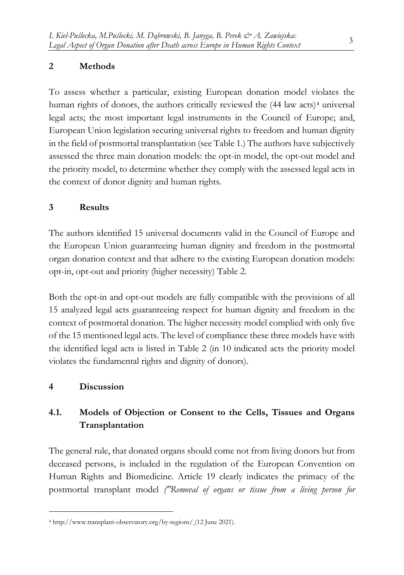## **2 Methods**

To assess whether a particular, existing European donation model violates the human rights of donors, the authors critically reviewed the  $(44 \text{ law acts})^4$  $(44 \text{ law acts})^4$  $(44 \text{ law acts})^4$  universal legal acts; the most important legal instruments in the Council of Europe; and, European Union legislation securing universal rights to freedom and human dignity in the field of postmortal transplantation (see Table 1.) The authors have subjectively assessed the three main donation models: the opt-in model, the opt-out model and the priority model, to determine whether they comply with the assessed legal acts in the context of donor dignity and human rights.

### **3 Results**

The authors identified 15 universal documents valid in the Council of Europe and the European Union guaranteeing human dignity and freedom in the postmortal organ donation context and that adhere to the existing European donation models: opt-in, opt-out and priority (higher necessity) Table 2.

Both the opt-in and opt-out models are fully compatible with the provisions of all 15 analyzed legal acts guaranteeing respect for human dignity and freedom in the context of postmortal donation. The higher necessity model complied with only five of the 15 mentioned legal acts. The level of compliance these three models have with the identified legal acts is listed in Table 2 (in 10 indicated acts the priority model violates the fundamental rights and dignity of donors).

### **4 Discussion**

## **4.1. Models of Objection or Consent to the Cells, Tissues and Organs Transplantation**

The general rule, that donated organs should come not from living donors but from deceased persons, is included in the regulation of the European Convention on Human Rights and Biomedicine. Article 19 clearly indicates the primacy of the postmortal transplant model *("Removal of organs or tissue from a living person for* 

<span id="page-2-0"></span><sup>4</sup> http://www.transplant-observatory.org/by-regions/ (12 June 2021).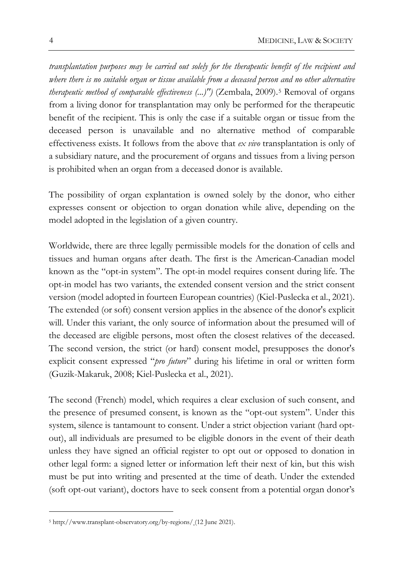*transplantation purposes may be carried out solely for the therapeutic benefit of the recipient and where there is no suitable organ or tissue available from a deceased person and no other alternative therapeutic method of comparable effectiveness (...)")* (Zembala, 2009).[5](#page-3-0) Removal of organs from a living donor for transplantation may only be performed for the therapeutic benefit of the recipient. This is only the case if a suitable organ or tissue from the deceased person is unavailable and no alternative method of comparable effectiveness exists. It follows from the above that *ex vivo* transplantation is only of a subsidiary nature, and the procurement of organs and tissues from a living person is prohibited when an organ from a deceased donor is available.

The possibility of organ explantation is owned solely by the donor, who either expresses consent or objection to organ donation while alive, depending on the model adopted in the legislation of a given country.

Worldwide, there are three legally permissible models for the donation of cells and tissues and human organs after death. The first is the American-Canadian model known as the "opt-in system". The opt-in model requires consent during life. The opt-in model has two variants, the extended consent version and the strict consent version (model adopted in fourteen European countries) (Kiel-Puslecka et al., 2021). The extended (or soft) consent version applies in the absence of the donor's explicit will. Under this variant, the only source of information about the presumed will of the deceased are eligible persons, most often the closest relatives of the deceased. The second version, the strict (or hard) consent model, presupposes the donor's explicit consent expressed "*pro future*" during his lifetime in oral or written form (Guzik-Makaruk, 2008; Kiel-Puslecka et al., 2021).

The second (French) model, which requires a clear exclusion of such consent, and the presence of presumed consent, is known as the "opt-out system". Under this system, silence is tantamount to consent. Under a strict objection variant (hard optout), all individuals are presumed to be eligible donors in the event of their death unless they have signed an official register to opt out or opposed to donation in other legal form: a signed letter or information left their next of kin, but this wish must be put into writing and presented at the time of death. Under the extended (soft opt-out variant), doctors have to seek consent from a potential organ donor's

<span id="page-3-0"></span><sup>5</sup> http://www.transplant-observatory.org/by-regions/ (12 June 2021).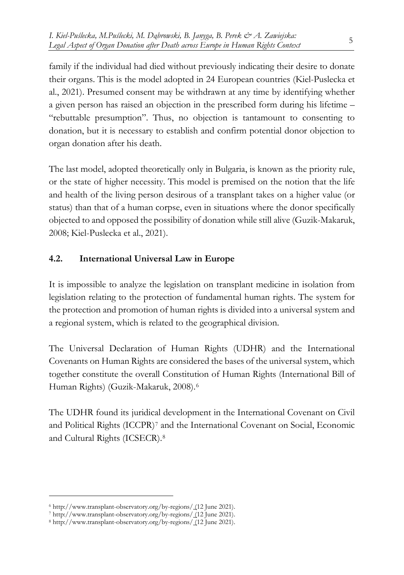family if the individual had died without previously indicating their desire to donate their organs. This is the model adopted in 24 European countries (Kiel-Puslecka et al., 2021). Presumed consent may be withdrawn at any time by identifying whether a given person has raised an objection in the prescribed form during his lifetime – "rebuttable presumption". Thus, no objection is tantamount to consenting to donation, but it is necessary to establish and confirm potential donor objection to organ donation after his death.

The last model, adopted theoretically only in Bulgaria, is known as the priority rule, or the state of higher necessity. This model is premised on the notion that the life and health of the living person desirous of a transplant takes on a higher value (or status) than that of a human corpse, even in situations where the donor specifically objected to and opposed the possibility of donation while still alive (Guzik-Makaruk, 2008; Kiel-Puslecka et al., 2021).

## **4.2. International Universal Law in Europe**

It is impossible to analyze the legislation on transplant medicine in isolation from legislation relating to the protection of fundamental human rights. The system for the protection and promotion of human rights is divided into a universal system and a regional system, which is related to the geographical division.

The Universal Declaration of Human Rights (UDHR) and the International Covenants on Human Rights are considered the bases of the universal system, which together constitute the overall Constitution of Human Rights (International Bill of Human Rights) (Guzik-Makaruk, 2008).[6](#page-4-0)

The UDHR found its juridical development in the International Covenant on Civil and Political Rights (ICCPR)[7](#page-4-1) and the International Covenant on Social, Economic and Cultural Rights (ICSECR).[8](#page-4-2)

<span id="page-4-0"></span><sup>6</sup> http://www.transplant-observatory.org/by-regions/ (12 June 2021).

<span id="page-4-1"></span><sup>7</sup> http://www.transplant-observatory.org/by-regions/ (12 June 2021).

<span id="page-4-2"></span><sup>8</sup> http://www.transplant-observatory.org/by-regions/ (12 June 2021).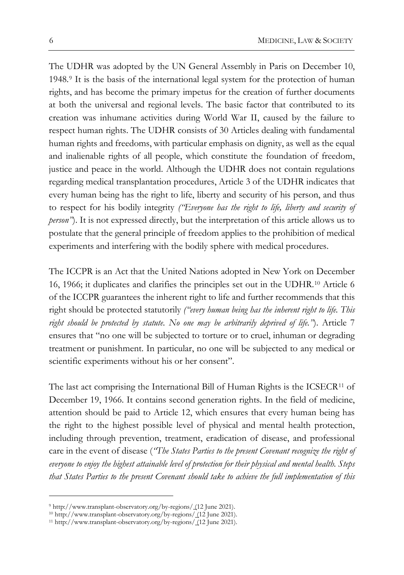The UDHR was adopted by the UN General Assembly in Paris on December 10, 1948.[9](#page-5-0) It is the basis of the international legal system for the protection of human rights, and has become the primary impetus for the creation of further documents at both the universal and regional levels. The basic factor that contributed to its creation was inhumane activities during World War II, caused by the failure to respect human rights. The UDHR consists of 30 Articles dealing with fundamental human rights and freedoms, with particular emphasis on dignity, as well as the equal and inalienable rights of all people, which constitute the foundation of freedom, justice and peace in the world. Although the UDHR does not contain regulations regarding medical transplantation procedures, Article 3 of the UDHR indicates that every human being has the right to life, liberty and security of his person, and thus to respect for his bodily integrity *("Everyone has the right to life, liberty and security of person"*). It is not expressed directly, but the interpretation of this article allows us to postulate that the general principle of freedom applies to the prohibition of medical experiments and interfering with the bodily sphere with medical procedures.

The ICCPR is an Act that the United Nations adopted in New York on December 16, 1966; it duplicates and clarifies the principles set out in the UDHR.[10](#page-5-1) Article 6 of the ICCPR guarantees the inherent right to life and further recommends that this right should be protected statutorily *("every human being has the inherent right to life. This right should be protected by statute. No one may be arbitrarily deprived of life."*). Article 7 ensures that "no one will be subjected to torture or to cruel, inhuman or degrading treatment or punishment. In particular, no one will be subjected to any medical or scientific experiments without his or her consent".

The last act comprising the International Bill of Human Rights is the ICSECR[11](#page-5-2) of December 19, 1966. It contains second generation rights. In the field of medicine, attention should be paid to Article 12, which ensures that every human being has the right to the highest possible level of physical and mental health protection, including through prevention, treatment, eradication of disease, and professional care in the event of disease (*"The States Parties to the present Covenant recognize the right of everyone to enjoy the highest attainable level of protection for their physical and mental health. Steps that States Parties to the present Covenant should take to achieve the full implementation of this* 

<span id="page-5-0"></span><sup>9</sup> http://www.transplant-observatory.org/by-regions/ (12 June 2021).

<span id="page-5-1"></span><sup>10</sup> http://www.transplant-observatory.org/by-regions/ (12 June 2021).

<span id="page-5-2"></span><sup>11</sup> http://www.transplant-observatory.org/by-regions/ (12 June 2021).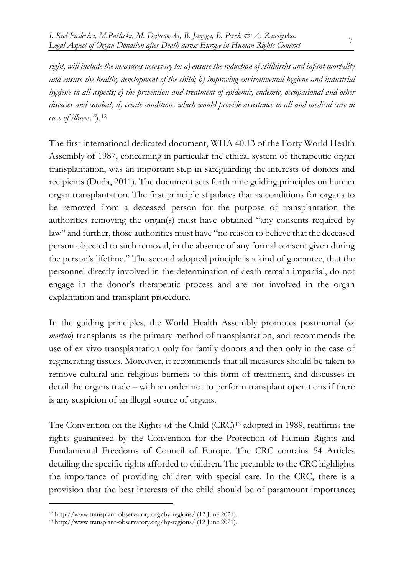*right, will include the measures necessary to: a) ensure the reduction of stillbirths and infant mortality and ensure the healthy development of the child; b) improving environmental hygiene and industrial hygiene in all aspects; c) the prevention and treatment of epidemic, endemic, occupational and other diseases and combat; d) create conditions which would provide assistance to all and medical care in case of illness."*).[12](#page-6-0)

The first international dedicated document, WHA 40.13 of the Forty World Health Assembly of 1987, concerning in particular the ethical system of therapeutic organ transplantation, was an important step in safeguarding the interests of donors and recipients (Duda, 2011). The document sets forth nine guiding principles on human organ transplantation. The first principle stipulates that as conditions for organs to be removed from a deceased person for the purpose of transplantation the authorities removing the organ(s) must have obtained "any consents required by law" and further, those authorities must have "no reason to believe that the deceased person objected to such removal, in the absence of any formal consent given during the person's lifetime." The second adopted principle is a kind of guarantee, that the personnel directly involved in the determination of death remain impartial, do not engage in the donor's therapeutic process and are not involved in the organ explantation and transplant procedure.

In the guiding principles, the World Health Assembly promotes postmortal (*ex mortuo*) transplants as the primary method of transplantation, and recommends the use of ex vivo transplantation only for family donors and then only in the case of regenerating tissues. Moreover, it recommends that all measures should be taken to remove cultural and religious barriers to this form of treatment, and discusses in detail the organs trade – with an order not to perform transplant operations if there is any suspicion of an illegal source of organs.

The Convention on the Rights of the Child (CRC)<sup>[13](#page-6-1)</sup> adopted in 1989, reaffirms the rights guaranteed by the Convention for the Protection of Human Rights and Fundamental Freedoms of Council of Europe. The CRC contains 54 Articles detailing the specific rights afforded to children. The preamble to the CRC highlights the importance of providing children with special care. In the CRC, there is a provision that the best interests of the child should be of paramount importance;

<span id="page-6-0"></span><sup>12</sup> http://www.transplant-observatory.org/by-regions/ (12 June 2021).

<span id="page-6-1"></span><sup>13</sup> http://www.transplant-observatory.org/by-regions/ (12 June 2021).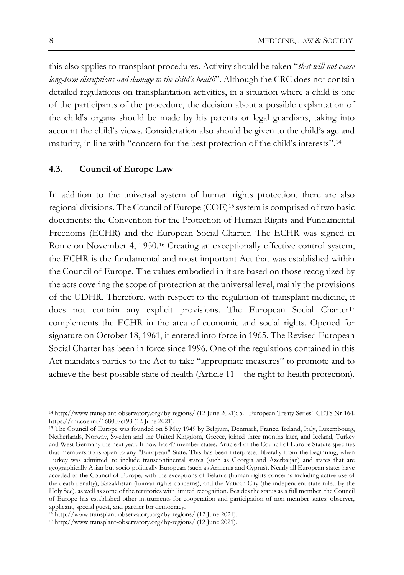this also applies to transplant procedures. Activity should be taken "*that will not cause long-term disruptions and damage to the child's health*". Although the CRC does not contain detailed regulations on transplantation activities, in a situation where a child is one of the participants of the procedure, the decision about a possible explantation of the child's organs should be made by his parents or legal guardians, taking into account the child's views. Consideration also should be given to the child's age and maturity, in line with "concern for the best protection of the child's interests".[14](#page-7-0)

### **4.3. Council of Europe Law**

In addition to the universal system of human rights protection, there are also regional divisions. The Council of Europe (COE)[15](#page-7-1) system is comprised of two basic documents: the Convention for the Protection of Human Rights and Fundamental Freedoms (ECHR) and the European Social Charter. The ECHR was signed in Rome on November 4, 1950.[16](#page-7-2) Creating an exceptionally effective control system, the ECHR is the fundamental and most important Act that was established within the Council of Europe. The values embodied in it are based on those recognized by the acts covering the scope of protection at the universal level, mainly the provisions of the UDHR. Therefore, with respect to the regulation of transplant medicine, it does not contain any explicit provisions. The European Social Charter<sup>[17](#page-7-3)</sup> complements the ECHR in the area of economic and social rights. Opened for signature on October 18, 1961, it entered into force in 1965. The Revised European Social Charter has been in force since 1996. One of the regulations contained in this Act mandates parties to the Act to take "appropriate measures" to promote and to achieve the best possible state of health (Article 11 – the right to health protection).

<span id="page-7-0"></span><sup>14</sup> http://www.transplant-observatory.org/by-regions/ (12 June 2021); 5. "European Treaty Series" CETS Nr 164. https://rm.coe.int/168007cf98 (12 June 2021).

<span id="page-7-1"></span><sup>15</sup> The Council of Europe was founded on 5 May 1949 by Belgium, Denmark, France, Ireland, Italy, Luxembourg, Netherlands, Norway, Sweden and the United Kingdom, Greece, joined three months later, and Iceland, Turkey and West Germany the next year. It now has 47 member states. Article 4 of the Council of Europe Statute specifies that membership is open to any "European" State. This has been interpreted liberally from the beginning, when Turkey was admitted, to include transcontinental states (such as Georgia and Azerbaijan) and states that are geographically Asian but socio-politically European (such as Armenia and Cyprus). Nearly all European states have acceded to the Council of Europe, with the exceptions of Belarus (human rights concerns including active use of the death penalty), Kazakhstan (human rights concerns), and the Vatican City (the independent state ruled by the Holy See), as well as some of the territories with limited recognition. Besides the status as a full member, the Council of Europe has established other instruments for cooperation and participation of non-member states: observer, applicant, special guest, and partner for democracy.

<span id="page-7-2"></span><sup>16</sup> http://www.transplant-observatory.org/by-regions/ (12 June 2021).

<span id="page-7-3"></span><sup>17</sup> http://www.transplant-observatory.org/by-regions/ (12 June 2021).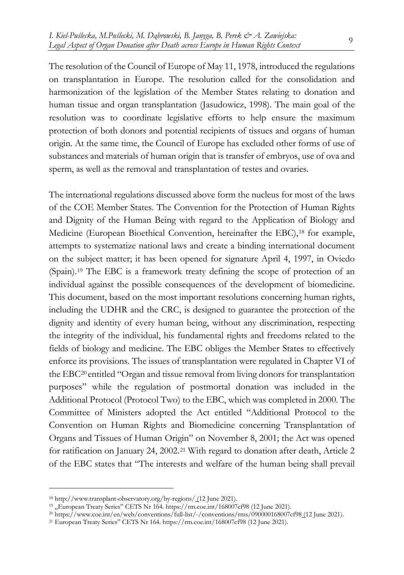The resolution of the Council of Europe of May 11, 1978, introduced the regulations on transplantation in Europe. The resolution called for the consolidation and harmonization of the legislation of the Member States relating to donation and human tissue and organ transplantation (Jasudowicz, 1998). The main goal of the resolution was to coordinate legislative efforts to help ensure the maximum protection of both donors and potential recipients of tissues and organs of human origin. At the same time, the Council of Europe has excluded other forms of use of substances and materials of human origin that is transfer of embryos, use of ova and sperm, as well as the removal and transplantation of testes and ovaries.

The international regulations discussed above form the nucleus for most of the laws of the COE Member States. The Convention for the Protection of Human Rights and Dignity of the Human Being with regard to the Application of Biology and Medicine (European Bioethical Convention, hereinafter the EBC),<sup>[18](#page-8-0)</sup> for example, attempts to systematize national laws and create a binding international document on the subject matter; it has been opened for signature April 4, 1997, in Oviedo (Spain).[19](#page-8-1) The EBC is a framework treaty defining the scope of protection of an individual against the possible consequences of the development of biomedicine. This document, based on the most important resolutions concerning human rights, including the UDHR and the CRC, is designed to guarantee the protection of the dignity and identity of every human being, without any discrimination, respecting the integrity of the individual, his fundamental rights and freedoms related to the fields of biology and medicine. The EBC obliges the Member States to effectively enforce its provisions. The issues of transplantation were regulated in Chapter VI of the EBC[20](#page-8-2) entitled "Organ and tissue removal from living donors for transplantation purposes" while the regulation of postmortal donation was included in the Additional Protocol (Protocol Two) to the EBC, which was completed in 2000. The Committee of Ministers adopted the Act entitled "Additional Protocol to the Convention on Human Rights and Biomedicine concerning Transplantation of Organs and Tissues of Human Origin" on November 8, 2001; the Act was opened for ratification on January 24, 2002.[21](#page-8-3) With regard to donation after death, Article 2 of the EBC states that "The interests and welfare of the human being shall prevail

<span id="page-8-0"></span><sup>18</sup> http://www.transplant-observatory.org/by-regions/ (12 June 2021).

<span id="page-8-1"></span> $19$ , European Treaty Series" CETS Nr 164. https://rm.coe.int/168007cf98 (12 June 2021).

<span id="page-8-2"></span><sup>20</sup> https://www.coe.int/en/web/conventions/full-list/-/conventions/rms/090000168007cf98 (12 June 2021).

<span id="page-8-3"></span><sup>21</sup> European Treaty Series" CETS Nr 164. https://rm.coe.int/168007cf98 (12 June 2021).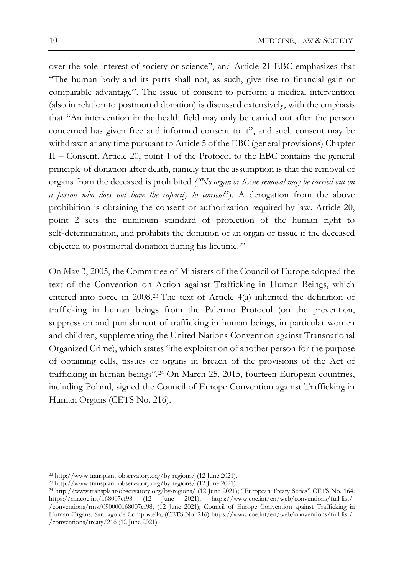over the sole interest of society or science", and Article 21 EBC emphasizes that "The human body and its parts shall not, as such, give rise to financial gain or comparable advantage". The issue of consent to perform a medical intervention (also in relation to postmortal donation) is discussed extensively, with the emphasis that "An intervention in the health field may only be carried out after the person concerned has given free and informed consent to it", and such consent may be withdrawn at any time pursuant to Article 5 of the EBC (general provisions) Chapter II – Consent. Article 20, point 1 of the Protocol to the EBC contains the general principle of donation after death, namely that the assumption is that the removal of organs from the deceased is prohibited *("No organ or tissue removal may be carried out on a person who does not have the capacity to consent*"). A derogation from the above prohibition is obtaining the consent or authorization required by law. Article 20, point 2 sets the minimum standard of protection of the human right to self-determination, and prohibits the donation of an organ or tissue if the deceased objected to postmortal donation during his lifetime.[22](#page-9-0)

On May 3, 2005, the Committee of Ministers of the Council of Europe adopted the text of the Convention on Action against Trafficking in Human Beings, which entered into force in 2008.[23](#page-9-1) The text of Article 4(a) inherited the definition of trafficking in human beings from the Palermo Protocol (on the prevention, suppression and punishment of trafficking in human beings, in particular women and children, supplementing the United Nations Convention against Transnational Organized Crime), which states "the exploitation of another person for the purpose of obtaining cells, tissues or organs in breach of the provisions of the Act of trafficking in human beings".[24](#page-9-2) On March 25, 2015, fourteen European countries, including Poland, signed the Council of Europe Convention against Trafficking in Human Organs (CETS No. 216).

<span id="page-9-0"></span><sup>22</sup> http://www.transplant-observatory.org/by-regions/ (12 June 2021).

<span id="page-9-1"></span><sup>23</sup> http://www.transplant-observatory.org/by-regions/ (12 June 2021).

<span id="page-9-2"></span><sup>24</sup> http://www.transplant-observatory.org/by-regions/ (12 June 2021); "European Treaty Series" CETS No. 164. https://rm.coe.int/168007cf98 (12 June 2021); https://www.coe.int/en/web/conventions/full-list/- /conventions/rms/090000168007cf98, (12 June 2021); Council of Europe Convention against Trafficking in Human Organs, Santiago de Compostella, (CETS No. 216) https://www.coe.int/en/web/conventions/full-list/- /conventions/treaty/216 (12 June 2021).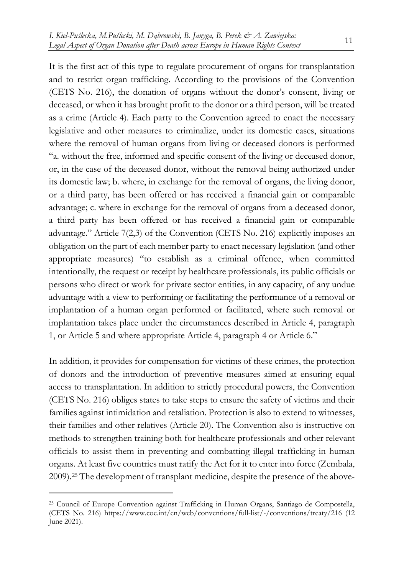It is the first act of this type to regulate procurement of organs for transplantation and to restrict organ trafficking. According to the provisions of the Convention (CETS No. 216), the donation of organs without the donor's consent, living or deceased, or when it has brought profit to the donor or a third person, will be treated as a crime (Article 4). Each party to the Convention agreed to enact the necessary legislative and other measures to criminalize, under its domestic cases, situations where the removal of human organs from living or deceased donors is performed "a. without the free, informed and specific consent of the living or deceased donor, or, in the case of the deceased donor, without the removal being authorized under its domestic law; b. where, in exchange for the removal of organs, the living donor, or a third party, has been offered or has received a financial gain or comparable advantage; c. where in exchange for the removal of organs from a deceased donor, a third party has been offered or has received a financial gain or comparable advantage." Article 7(2,3) of the Convention (CETS No. 216) explicitly imposes an obligation on the part of each member party to enact necessary legislation (and other appropriate measures) "to establish as a criminal offence, when committed intentionally, the request or receipt by healthcare professionals, its public officials or persons who direct or work for private sector entities, in any capacity, of any undue advantage with a view to performing or facilitating the performance of a removal or implantation of a human organ performed or facilitated, where such removal or implantation takes place under the circumstances described in Article 4, paragraph 1, or Article 5 and where appropriate Article 4, paragraph 4 or Article 6."

In addition, it provides for compensation for victims of these crimes, the protection of donors and the introduction of preventive measures aimed at ensuring equal access to transplantation. In addition to strictly procedural powers, the Convention (CETS No. 216) obliges states to take steps to ensure the safety of victims and their families against intimidation and retaliation. Protection is also to extend to witnesses, their families and other relatives (Article 20). The Convention also is instructive on methods to strengthen training both for healthcare professionals and other relevant officials to assist them in preventing and combatting illegal trafficking in human organs. At least five countries must ratify the Act for it to enter into force (Zembala, 2009).[25](#page-10-0) The development of transplant medicine, despite the presence of the above-

<span id="page-10-0"></span><sup>25</sup> Council of Europe Convention against Trafficking in Human Organs, Santiago de Compostella, (CETS No. 216) https://www.coe.int/en/web/conventions/full-list/-/conventions/treaty/216 (12 June 2021).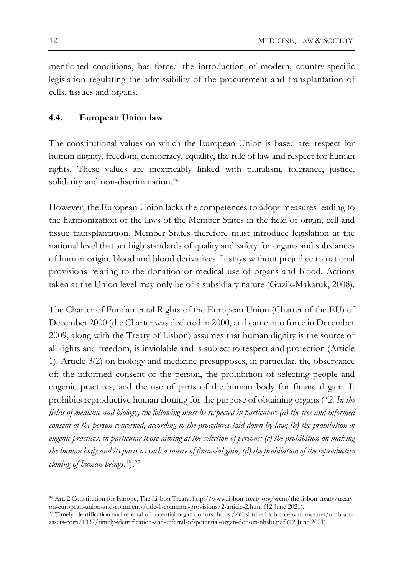mentioned conditions, has forced the introduction of modern, country-specific legislation regulating the admissibility of the procurement and transplantation of cells, tissues and organs.

## **4.4. European Union law**

The constitutional values on which the European Union is based are: respect for human dignity, freedom, democracy, equality, the rule of law and respect for human rights. These values are inextricably linked with pluralism, tolerance, justice, solidarity and non-discrimination.<sup>[26](#page-11-0)</sup>

However, the European Union lacks the competences to adopt measures leading to the harmonization of the laws of the Member States in the field of organ, cell and tissue transplantation. Member States therefore must introduce legislation at the national level that set high standards of quality and safety for organs and substances of human origin, blood and blood derivatives. It stays without prejudice to national provisions relating to the donation or medical use of organs and blood. Actions taken at the Union level may only be of a subsidiary nature (Guzik-Makaruk, 2008).

The Charter of Fundamental Rights of the European Union (Charter of the EU) of December 2000 (the Charter was declared in 2000, and came into force in December 2009, along with the Treaty of Lisbon) assumes that human dignity is the source of all rights and freedom, is inviolable and is subject to respect and protection (Article 1). Article 3(2) on biology and medicine presupposes, in particular, the observance of: the informed consent of the person, the prohibition of selecting people and eugenic practices, and the use of parts of the human body for financial gain. It prohibits reproductive human cloning for the purpose of obtaining organs (*"2. In the fields of medicine and biology, the following must be respected in particular: (a) the free and informed consent of the person concerned, according to the procedures laid down by law; (b) the prohibition of eugenic practices, in particular those aiming at the selection of persons; (c) the prohibition on making the human body and its parts as such a source of financial gain; (d) the prohibition of the reproductive cloning of human beings."*).[27](#page-11-1)

<span id="page-11-0"></span><sup>26</sup> Art. 2 Constitution for Europe, The Lisbon Treaty. http://www.lisbon-treaty.org/wcm/the-lisbon-treaty/treatyon-european-union-and-comments/title-1-common-provisions/2-article-2.html (12 June 2021).

<span id="page-11-1"></span><sup>27</sup> Timely identification and referral of potential organ donors. https://nhsbtdbe.blob.core.windows.net/umbracoassets-corp/1337/timely-identification-and-referral-of-potential-organ-donors-nhsbt.pdf (12 June 2021).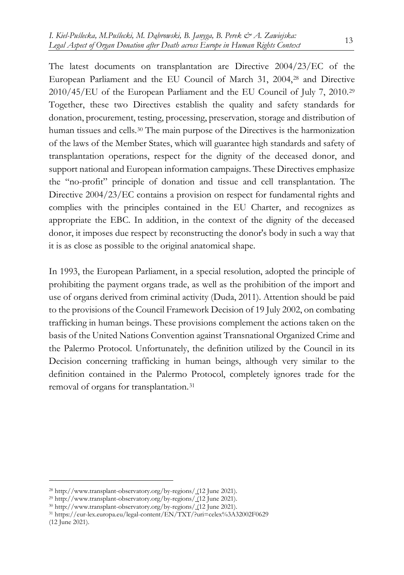The latest documents on transplantation are Directive 2004/23/EC of the European Parliament and the EU Council of March 31, 2004,[28](#page-12-0) and Directive 2010/45/EU of the European Parliament and the EU Council of July 7, 2010.[29](#page-12-1) Together, these two Directives establish the quality and safety standards for donation, procurement, testing, processing, preservation, storage and distribution of human tissues and cells.[30](#page-12-2) The main purpose of the Directives is the harmonization of the laws of the Member States, which will guarantee high standards and safety of transplantation operations, respect for the dignity of the deceased donor, and support national and European information campaigns. These Directives emphasize the "no-profit" principle of donation and tissue and cell transplantation. The Directive 2004/23/EC contains a provision on respect for fundamental rights and complies with the principles contained in the EU Charter, and recognizes as appropriate the EBC. In addition, in the context of the dignity of the deceased donor, it imposes due respect by reconstructing the donor's body in such a way that it is as close as possible to the original anatomical shape.

In 1993, the European Parliament, in a special resolution, adopted the principle of prohibiting the payment organs trade, as well as the prohibition of the import and use of organs derived from criminal activity (Duda, 2011). Attention should be paid to the provisions of the Council Framework Decision of 19 July 2002, on combating trafficking in human beings. These provisions complement the actions taken on the basis of the United Nations Convention against Transnational Organized Crime and the Palermo Protocol. Unfortunately, the definition utilized by the Council in its Decision concerning trafficking in human beings, although very similar to the definition contained in the Palermo Protocol, completely ignores trade for the removal of organs for transplantation.[31](#page-12-3)

<span id="page-12-0"></span><sup>28</sup> http://www.transplant-observatory.org/by-regions/ (12 June 2021).

<span id="page-12-1"></span><sup>29</sup> http://www.transplant-observatory.org/by-regions/ (12 June 2021).

<span id="page-12-2"></span><sup>30</sup> http://www.transplant-observatory.org/by-regions/ (12 June 2021).

<span id="page-12-3"></span><sup>31</sup> https://eur-lex.europa.eu/legal-content/EN/TXT/?uri=celex%3A32002F0629 (12 June 2021).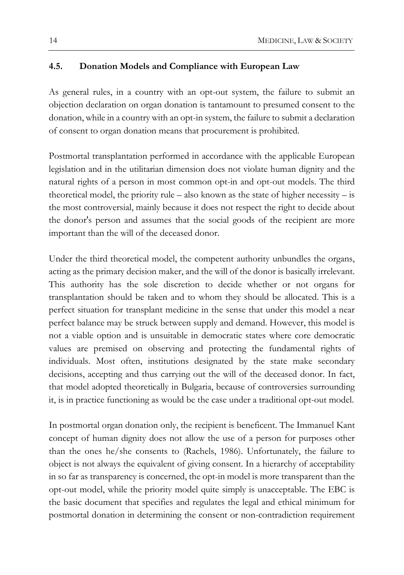## **4.5. Donation Models and Compliance with European Law**

As general rules, in a country with an opt-out system, the failure to submit an objection declaration on organ donation is tantamount to presumed consent to the donation, while in a country with an opt-in system, the failure to submit a declaration of consent to organ donation means that procurement is prohibited.

Postmortal transplantation performed in accordance with the applicable European legislation and in the utilitarian dimension does not violate human dignity and the natural rights of a person in most common opt-in and opt-out models. The third theoretical model, the priority rule – also known as the state of higher necessity – is the most controversial, mainly because it does not respect the right to decide about the donor's person and assumes that the social goods of the recipient are more important than the will of the deceased donor.

Under the third theoretical model, the competent authority unbundles the organs, acting as the primary decision maker, and the will of the donor is basically irrelevant. This authority has the sole discretion to decide whether or not organs for transplantation should be taken and to whom they should be allocated. This is a perfect situation for transplant medicine in the sense that under this model a near perfect balance may be struck between supply and demand. However, this model is not a viable option and is unsuitable in democratic states where core democratic values are premised on observing and protecting the fundamental rights of individuals. Most often, institutions designated by the state make secondary decisions, accepting and thus carrying out the will of the deceased donor. In fact, that model adopted theoretically in Bulgaria, because of controversies surrounding it, is in practice functioning as would be the case under a traditional opt-out model.

In postmortal organ donation only, the recipient is beneficent. The Immanuel Kant concept of human dignity does not allow the use of a person for purposes other than the ones he/she consents to (Rachels, 1986). Unfortunately, the failure to object is not always the equivalent of giving consent. In a hierarchy of acceptability in so far as transparency is concerned, the opt-in model is more transparent than the opt-out model, while the priority model quite simply is unacceptable. The EBC is the basic document that specifies and regulates the legal and ethical minimum for postmortal donation in determining the consent or non-contradiction requirement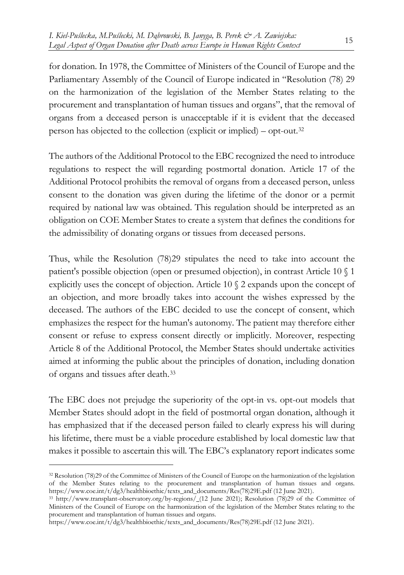for donation. In 1978, the Committee of Ministers of the Council of Europe and the Parliamentary Assembly of the Council of Europe indicated in "Resolution (78) 29 on the harmonization of the legislation of the Member States relating to the procurement and transplantation of human tissues and organs", that the removal of organs from a deceased person is unacceptable if it is evident that the deceased person has objected to the collection (explicit or implied) – opt-out.[32](#page-14-0)

The authors of the Additional Protocol to the EBC recognized the need to introduce regulations to respect the will regarding postmortal donation. Article 17 of the Additional Protocol prohibits the removal of organs from a deceased person, unless consent to the donation was given during the lifetime of the donor or a permit required by national law was obtained. This regulation should be interpreted as an obligation on COE Member States to create a system that defines the conditions for the admissibility of donating organs or tissues from deceased persons.

Thus, while the Resolution (78)29 stipulates the need to take into account the patient's possible objection (open or presumed objection), in contrast Article 10 § 1 explicitly uses the concept of objection. Article 10 § 2 expands upon the concept of an objection, and more broadly takes into account the wishes expressed by the deceased. The authors of the EBC decided to use the concept of consent, which emphasizes the respect for the human's autonomy. The patient may therefore either consent or refuse to express consent directly or implicitly. Moreover, respecting Article 8 of the Additional Protocol, the Member States should undertake activities aimed at informing the public about the principles of donation, including donation of organs and tissues after death.[33](#page-14-1)

The EBC does not prejudge the superiority of the opt-in vs. opt-out models that Member States should adopt in the field of postmortal organ donation, although it has emphasized that if the deceased person failed to clearly express his will during his lifetime, there must be a viable procedure established by local domestic law that makes it possible to ascertain this will. The EBC's explanatory report indicates some

<span id="page-14-0"></span><sup>32</sup> Resolution (78)29 of the Committee of Ministers of the Council of Europe on the harmonization of the legislation of the Member States relating to the procurement and transplantation of human tissues and organs. https://www.coe.int/t/dg3/healthbioethic/texts\_and\_documents/Res(78)29E.pdf (12 June 2021).

<span id="page-14-1"></span><sup>33</sup> http://www.transplant-observatory.org/by-regions/ (12 June 2021); Resolution (78)29 of the Committee of Ministers of the Council of Europe on the harmonization of the legislation of the Member States relating to the procurement and transplantation of human tissues and organs.

https://www.coe.int/t/dg3/healthbioethic/texts\_and\_documents/Res(78)29E.pdf (12 June 2021).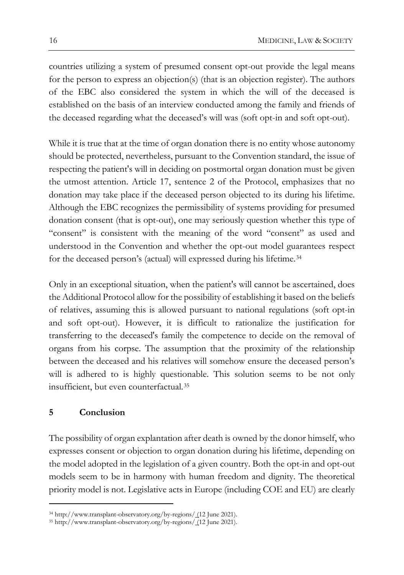countries utilizing a system of presumed consent opt-out provide the legal means for the person to express an objection(s) (that is an objection register). The authors of the EBC also considered the system in which the will of the deceased is established on the basis of an interview conducted among the family and friends of the deceased regarding what the deceased's will was (soft opt-in and soft opt-out).

While it is true that at the time of organ donation there is no entity whose autonomy should be protected, nevertheless, pursuant to the Convention standard, the issue of respecting the patient's will in deciding on postmortal organ donation must be given the utmost attention. Article 17, sentence 2 of the Protocol, emphasizes that no donation may take place if the deceased person objected to its during his lifetime. Although the EBC recognizes the permissibility of systems providing for presumed donation consent (that is opt-out), one may seriously question whether this type of "consent" is consistent with the meaning of the word "consent" as used and understood in the Convention and whether the opt-out model guarantees respect for the deceased person's (actual) will expressed during his lifetime.[34](#page-15-0)

Only in an exceptional situation, when the patient's will cannot be ascertained, does the Additional Protocol allow for the possibility of establishing it based on the beliefs of relatives, assuming this is allowed pursuant to national regulations (soft opt-in and soft opt-out). However, it is difficult to rationalize the justification for transferring to the deceased's family the competence to decide on the removal of organs from his corpse. The assumption that the proximity of the relationship between the deceased and his relatives will somehow ensure the deceased person's will is adhered to is highly questionable. This solution seems to be not only insufficient, but even counterfactual.[35](#page-15-1)

### **5 Conclusion**

The possibility of organ explantation after death is owned by the donor himself, who expresses consent or objection to organ donation during his lifetime, depending on the model adopted in the legislation of a given country. Both the opt-in and opt-out models seem to be in harmony with human freedom and dignity. The theoretical priority model is not. Legislative acts in Europe (including COE and EU) are clearly

<span id="page-15-0"></span><sup>34</sup> http://www.transplant-observatory.org/by-regions/ (12 June 2021).

<span id="page-15-1"></span><sup>35</sup> http://www.transplant-observatory.org/by-regions/ (12 June 2021).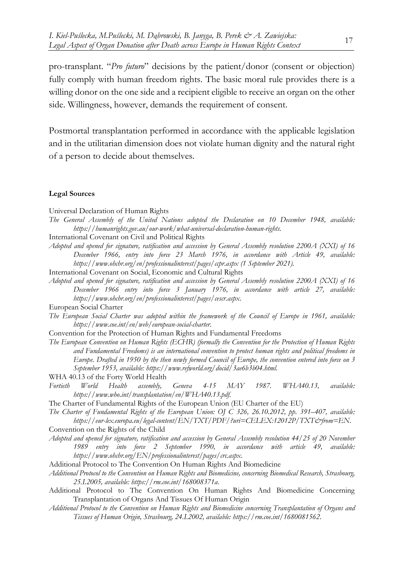pro-transplant. "*Pro futuro*" decisions by the patient/donor (consent or objection) fully comply with human freedom rights. The basic moral rule provides there is a willing donor on the one side and a recipient eligible to receive an organ on the other side. Willingness, however, demands the requirement of consent.

Postmortal transplantation performed in accordance with the applicable legislation and in the utilitarian dimension does not violate human dignity and the natural right of a person to decide about themselves.

#### **Legal Sources**

Universal Declaration of Human Rights

- *The General Assembly of the United Nations adopted the Declaration on 10 December 1948, available: https://humanrights.gov.au/our-work/what-universal-declaration-human-rights*.
- International Covenant on Civil and Political Rights
- *Adopted and opened for signature, ratification and accession by General Assembly resolution 2200A (XXI) of 16 December 1966, entry into force 23 March 1976, in accordance with Article 49, available: https://www.ohchr.org/en/professionalinterest/pages/ccpr.aspx (1 September 2021).*
- International Covenant on Social, Economic and Cultural Rights
- *Adopted and opened for signature, ratification and accession by General Assembly resolution 2200A (XXI) of 16 December 1966 entry into force 3 January 1976, in accordance with article 27, available: https://www.ohchr.org/en/professionalinterest/pages/cescr.aspx*.
- European Social Charter
- *The European Social Charter was adopted within the framework of the Council of Europe in 1961, available: https://www.coe.int/en/web/european-social-charter*.
- Convention for the Protection of Human Rights and Fundamental Freedoms
- *The European Convention on Human Rights (ECHR) (formally the Convention for the Protection of Human Rights and Fundamental Freedoms) is an international convention to protect human rights and political freedoms in Europe. Drafted in 1950 by the then newly formed Council of Europe, the convention entered into force on 3 September 1953, available: https://www.refworld.org/docid/3ae6b3b04.html*.
- WHA 40.13 of the Forty World Health
- *Fortieth World Health assembly, Geneva 4-15 MAY 1987. WHA40.13, available: https://www.who.int/transplantation/en/WHA40.13.pdf*.
- The Charter of Fundamental Rights of the European Union (EU Charter of the EU)
- *The Charter of Fundamental Rights of the European Union: OJ C 326, 26.10.2012, pp. 391–407, available: https://eur-lex.europa.eu/legal-content/EN/TXT/PDF/?uri=CELEX:12012P/TXT&from=EN*.
- Convention on the Rights of the Child
- *Adopted and opened for signature, ratification and accession by General Assembly resolution 44/25 of 20 November 1989 entry into force 2 September 1990, in accordance with article 49, available: https://www.ohchr.org/EN/professionalinterest/pages/crc.aspx*.
- Additional Protocol to The Convention On Human Rights And Biomedicine
- *Additional Protocol to the Convention on Human Rights and Biomedicine, concerning Biomedical Research, Strasbourg, 25.I.2005, available: https://rm.coe.int/168008371a*.
- Additional Protocol to The Convention On Human Rights And Biomedicine Concerning Transplantation of Organs And Tissues Of Human Origin
- *Additional Protocol to the Convention on Human Rights and Biomedicine concerning Transplantation of Organs and Tissues of Human Origin, Strasbourg, 24.I.2002, available: https://rm.coe.int/1680081562*.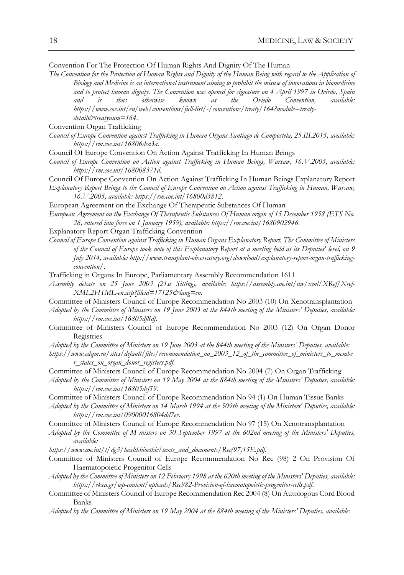Convention For The Protection Of Human Rights And Dignity Of The Human

- *The Convention for the Protection of Human Rights and Dignity of the Human Being with regard to the Application of Biology and Medicine is an international instrument aiming to prohibit the misuse of innovations in biomedicine and to protect human dignity. The Convention was opened for signature on 4 April 1997 in Oviedo, Spain and is thus otherwise known as the Oviedo Convention, available: https://www.coe.int/en/web/conventions/full-list/-/conventions/treaty/164?module=treatydetail&treatynum=164*.
- Convention Organ Trafficking
- *Council of Europe Convention against Trafficking in Human Organs Santiago de Compostela, 25.III.2015, available: https://rm.coe.int/16806dca3a*.
- Council Of Europe Convention On Action Against Trafficking In Human Beings
- *Council of Europe Convention on Action against Trafficking in Human Beings, Warsaw, 16.V.2005, available: https://rm.coe.int/168008371d*.
- Council Of Europe Convention On Action Against Trafficking In Human Beings Explanatory Report
- *Explanatory Report Beings to the Council of Europe Convention on Action against Trafficking in Human, Warsaw, 16.V.2005, available: https://rm.coe.int/16800d3812*.
- European Agreement on the Exchange Of Therapeutic Substances Of Human
- *European Agreement on the Exchange Of Therapeutic Substances Of Human origin of 15 December 1958 (ETS No. 26, entered into force on 1 January 1959), available: https://rm.coe.int/1680902946*.
- Explanatory Report Organ Trafficking Convention
- *Council of Europe Convention against Trafficking in Human Organs Explanatory Report, The Committee of Ministers of the Council of Europe took note of this Explanatory Report at a meeting held at its Deputies' level, on 9 July 2014, available: http://www.transplant-observatory.org/download/explanatory-report-organ-traffickingconvention/*.
- Trafficking in Organs In Europe, Parliamentary Assembly Recommendation 1611
- *Assembly debate on 25 June 2003 (21st Sitting), available: https://assembly.coe.int/nw/xml/XRef/Xref-XML2HTML-en.asp?fileid=17125&lang=en*.
- Committee of Ministers Council of Europe Recommendation No 2003 (10) On Xenotransplantation
- *Adopted by the Committee of Ministers on 19 June 2003 at the 844th meeting of the Ministers' Deputies, available: https://rm.coe.int/16805df8df*.
- Committee of Ministers Council of Europe Recommendation No 2003 (12) On Organ Donor Registries
- *Adopted by the Committee of Ministers on 19 June 2003 at the 844th meeting of the Ministers' Deputies, available:*
- *https://www.edqm.eu/sites/default/files/recommendation\_no\_2003\_12\_of\_the\_committee\_of\_ministers\_to\_membe r\_states\_on\_organ\_donor\_registers.pdf*.
- Committee of Ministers Council of Europe Recommendation No 2004 (7) On Organ Trafficking
- *Adopted by the Committee of Ministers on 19 May 2004 at the 884th meeting of the Ministers' Deputies, available: https://rm.coe.int/16805dcf59*.
- Committee of Ministers Council of Europe Recommendation No 94 (1) On Human Tissue Banks
- *Adopted by the Committee of Ministers on 14 March 1994 at the 509th meeting of the Ministers' Deputies, available: https://rm.coe.int/09000016804dd7ee*.
- Committee of Ministers Council of Europe Recommendation No 97 (15) On Xenotransplantation
- *Adopted by the Committee of M inisters on 30 September 1997 at the 602nd meeting of the Ministers' Deputies, available:*
- *https://www.coe.int/t/dg3/healthbioethic/texts\_and\_documents/Rec(97)15E.pdf*.
- Committee of Ministers Council of Europe Recommendation No Rec (98) 2 On Provision Of Haematopoietic Progenitor Cells
- *Adopted by the Committee of Ministers on 12 February 1998 at the 620th meeting of the Ministers' Deputies, available: https://ekea.gr/wp-content/uploads/Rec982-Provision-of-haematopoietic-progenitor-cells.pdf*.
- Committee of Ministers Council of Europe Recommendation Rec 2004 (8) On Autologous Cord Blood Banks
- *Adopted by the Committee of Ministers on 19 May 2004 at the 884th meeting of the Ministers' Deputies, available:*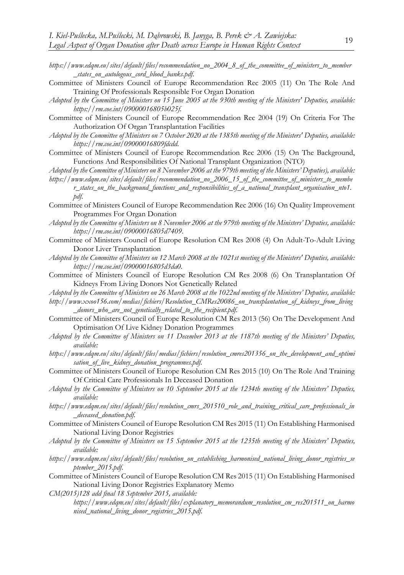- *https://www.edqm.eu/sites/default/files/recommendation\_no\_2004\_8\_of\_the\_committee\_of\_ministers\_to\_member \_states\_on\_autologous\_cord\_blood\_banks.pdf*.
- Committee of Ministers Council of Europe Recommendation Rec 2005 (11) On The Role And Training Of Professionals Responsible For Organ Donation
- *Adopted by the Committee of Ministers on 15 June 2005 at the 930th meeting of the Ministers' Deputies, available: https://rm.coe.int/09000016805b025f*.
- Committee of Ministers Council of Europe Recommendation Rec 2004 (19) On Criteria For The Authorization Of Organ Transplantation Facilities
- *Adopted by the Committee of Ministers on 7 October 2020 at the 1385th meeting of the Ministers' Deputies, available: https://rm.coe.int/09000016809fdcdd*.
- Committee of Ministers Council of Europe Recommendation Rec 2006 (15) On The Background, Functions And Responsibilities Of National Transplant Organization (NTO)
- *Adopted by the Committee of Ministers on 8 November 2006 at the 979th meeting of the Ministers' Deputies), available: https://www.edqm.eu/sites/default/files/recommendation\_no\_2006\_15\_of\_the\_committee\_of\_ministers\_to\_membe*
	- *r\_states\_on\_the\_background\_functions\_and\_responsibilities\_of\_a\_national\_transplant\_organisation\_nto1. pdf*.
- Committee of Ministers Council of Europe Recommendation Rec 2006 (16) On Quality Improvement Programmes For Organ Donation
- *Adopted by the Committee of Ministers on 8 November 2006 at the 979th meeting of the Ministers' Deputies, available: https://rm.coe.int/09000016805d7409*.
- Committee of Ministers Council of Europe Resolution CM Res 2008 (4) On Adult-To-Adult Living Donor Liver Transplantation
- *Adopted by the Committee of Ministers on 12 March 2008 at the 1021st meeting of the Ministers' Deputies, available: https://rm.coe.int/09000016805d3da0*.
- Committee of Ministers Council of Europe Resolution CM Res 2008 (6) On Transplantation Of Kidneys From Living Donors Not Genetically Related

*Adopted by the Committee of Ministers on 26 March 2008 at the 1022nd meeting of the Ministers' Deputies, available:* 

- *http://www.xxoo156.com/medias/fichiers/Resolution\_CMRes20086\_on\_transplantation\_of\_kidneys\_from\_living \_donors\_who\_are\_not\_genetically\_related\_to\_the\_recipient.pdf*.
- Committee of Ministers Council of Europe Resolution CM Res 2013 (56) On The Development And Optimisation Of Live Kidney Donation Programmes
- *Adopted by the Committee of Ministers on 11 December 2013 at the 1187th meeting of the Ministers' Deputies, available:*
- *https://www.edqm.eu/sites/default/files/medias/fichiers/resolution\_cmres201356\_on\_the\_development\_and\_optimi sation\_of\_live\_kidney\_donation\_programmes.pdf*.
- Committee of Ministers Council of Europe Resolution CM Res 2015 (10) On The Role And Training Of Critical Care Professionals In Deceased Donation
- *Adopted by the Committee of Ministers on 10 September 2015 at the 1234th meeting of the Ministers' Deputies, available:*
- *https://www.edqm.eu/sites/default/files/resolution\_cmrs\_201510\_role\_and\_training\_critical\_care\_professionals\_in \_deceased\_donation.pdf*.
- Committee of Ministers Council of Europe Resolution CM Res 2015 (11) On Establishing Harmonised National Living Donor Registries
- *Adopted by the Committee of Ministers on 15 September 2015 at the 1235th meeting of the Ministers' Deputies, available:*
- *https://www.edqm.eu/sites/default/files/resolution\_on\_establishing\_harmonised\_national\_living\_donor\_registries\_se ptember\_2015.pdf*.
- Committee of Ministers Council of Europe Resolution CM Res 2015 (11) On Establishing Harmonised National Living Donor Registries Explanatory Memo

*CM(2015)128 add final 18 September 2015, available:* 

*https://www.edqm.eu/sites/default/files/explanatory\_memorandum\_resolution\_cm\_res201511\_on\_harmo nised\_national\_living\_donor\_registries\_2015.pdf*.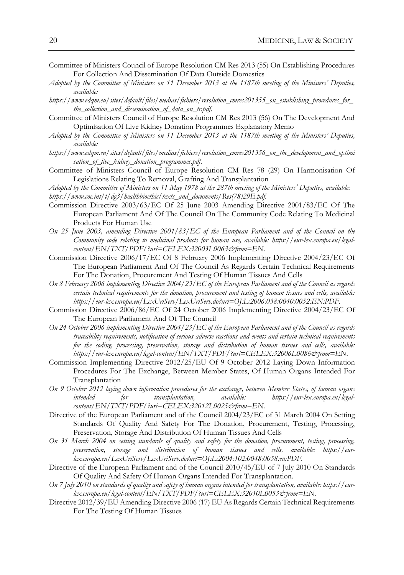- Committee of Ministers Council of Europe Resolution CM Res 2013 (55) On Establishing Procedures For Collection And Dissemination Of Data Outside Domestics
- *Adopted by the Committee of Ministers on 11 December 2013 at the 1187th meeting of the Ministers' Deputies, available:*
- *https://www.edqm.eu/sites/default/files/medias/fichiers/resolution\_cmres201355\_on\_establishing\_procedures\_for\_ the\_collection\_and\_dissemination\_of\_data\_on\_tr.pdf*.
- Committee of Ministers Council of Europe Resolution CM Res 2013 (56) On The Development And Optimisation Of Live Kidney Donation Programmes Explanatory Memo
- *Adopted by the Committee of Ministers on 11 December 2013 at the 1187th meeting of the Ministers' Deputies, available:*
- *https://www.edqm.eu/sites/default/files/medias/fichiers/resolution\_cmres201356\_on\_the\_development\_and\_optimi sation\_of\_live\_kidney\_donation\_programmes.pdf*.
- Committee of Ministers Council of Europe Resolution CM Res 78 (29) On Harmonisation Of Legislations Relating To Removal, Grafting And Transplantation

*Adopted by the Committee of Ministers on 11 May 1978 at the 287th meeting of the Ministers' Deputies, available: https://www.coe.int/t/dg3/healthbioethic/texts\_and\_documents/Res(78)29E.pdf*.

- Commission Directive 2003/63/EC Of 25 June 2003 Amending Directive 2001/83/EC Of The European Parliament And Of The Council On The Community Code Relating To Medicinal Products For Human Use
- *On 25 June 2003, amending Directive 2001/83/EC of the European Parliament and of the Council on the Community code relating to medicinal products for human use, available: https://eur-lex.europa.eu/legalcontent/EN/TXT/PDF/?uri=CELEX:32003L0063&from=EN*.
- Commission Directive 2006/17/EC Of 8 February 2006 Implementing Directive 2004/23/EC Of The European Parliament And Of The Council As Regards Certain Technical Requirements For The Donation, Procurement And Testing Of Human Tissues And Cells
- *On 8 February 2006 implementing Directive 2004/23/EC of the European Parliament and of the Council as regards certain technical requirements for the donation, procurement and testing of human tissues and cells, available: https://eur-lex.europa.eu/LexUriServ/LexUriServ.do?uri=OJ:L:2006:038:0040:0052:EN:PDF*.
- Commission Directive 2006/86/EC Of 24 October 2006 Implementing Directive 2004/23/EC Of The European Parliament And Of The Council
- *On 24 October 2006 implementing Directive 2004/23/EC of the European Parliament and of the Council as regards traceability requirements, notification of serious adverse reactions and events and certain technical requirements for the coding, processing, preservation, storage and distribution of human tissues and cells, available: https://eur-lex.europa.eu/legal-content/EN/TXT/PDF/?uri=CELEX:32006L0086&from=EN*.
- Commission Implementing Directive 2012/25/EU Of 9 October 2012 Laying Down Information Procedures For The Exchange, Between Member States, Of Human Organs Intended For Transplantation
- *On 9 October 2012 laying down information procedures for the exchange, between Member States, of human organs intended for transplantation, available: https://eur-lex.europa.eu/legalcontent/EN/TXT/PDF/?uri=CELEX:32012L0025&from=EN*.
- Directive of the European Parliament and of the Council 2004/23/EC of 31 March 2004 On Setting Standards Of Quality And Safety For The Donation, Procurement, Testing, Processing, Preservation, Storage And Distribution Of Human Tissues And Cells
- *On 31 March 2004 on setting standards of quality and safety for the donation, procurement, testing, processing, preservation, storage and distribution of human tissues and cells, available: https://eurlex.europa.eu/LexUriServ/LexUriServ.do?uri=OJ:L:2004:102:0048:0058:en:PDF*.
- Directive of the European Parliament and of the Council 2010/45/EU of 7 July 2010 On Standards Of Quality And Safety Of Human Organs Intended For Transplantation.
- *On 7 July 2010 on standards of quality and safety of human organs intended for transplantation, available: https://eurlex.europa.eu/legal-content/EN/TXT/PDF/?uri=CELEX:32010L0053&from=EN*.
- Directive 2012/39/EU Amending Directive 2006 (17) EU As Regards Certain Technical Requirements For The Testing Of Human Tissues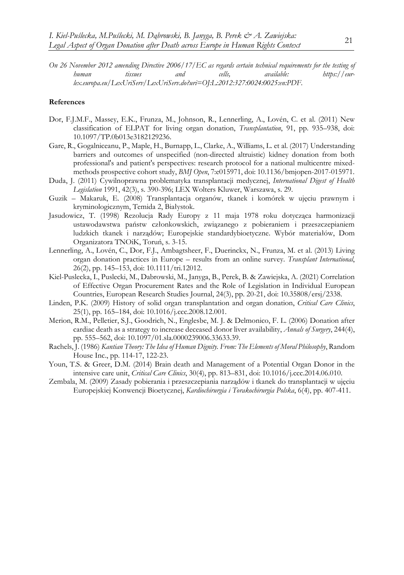*On 26 November 2012 amending Directive 2006/17/EC as regards certain technical requirements for the testing of human tissues and cells, available: https://eurlex.europa.eu/LexUriServ/LexUriServ.do?uri=OJ:L:2012:327:0024:0025:en:PDF*.

#### **References**

- Dor, F.J.M.F., Massey, E.K., Frunza, M., Johnson, R., Lennerling, A., Lovén, C. et al. (2011) New classification of ELPAT for living organ donation, *Transplantation*, 91, pp. 935–938, doi: 10.1097/TP.0b013e3182129236.
- Gare, R., Gogalniceanu, P., Maple, H., Burnapp, L., Clarke, A., Williams, L. et al. (2017) Understanding barriers and outcomes of unspecified (non-directed altruistic) kidney donation from both professional's and patient's perspectives: research protocol for a national multicentre mixedmethods prospective cohort study, *BMJ Open*, 7:e015971, doi: 10.1136/bmjopen-2017-015971.
- Duda, J. (2011) Cywilnoprawna problematyka transplantacji medycznej, *International Digest of Health Legislation* 1991, 42(3), s. 390-396; LEX Wolters Kluwer, Warszawa, s. 29.
- Guzik Makaruk, E. (2008) Transplantacja organów, tkanek i komórek w ujęciu prawnym i kryminologicznym, Temida 2, Białystok.
- Jasudowicz, T. (1998) Rezolucja Rady Europy z 11 maja 1978 roku dotycząca harmonizacji ustawodawstwa państw członkowskich, związanego z pobieraniem i przeszczepianiem ludzkich tkanek i narządów; Europejskie standardybioetyczne. Wybór materiałów, Dom Organizatora TNOiK, Toruń, s. 3-15.
- Lennerling, A., Lovén, C., Dor, F.J., Ambagtsheer, F., Duerinckx, N., Frunza, M. et al. (2013) Living organ donation practices in Europe – results from an online survey. *Transplant International*, 26(2), pp. 145–153, doi: 10.1111/tri.12012.
- Kiel-Puslecka, I., Puslecki, M., Dabrowski, M., Janyga, B., Perek, B. & Zawiejska, A. (2021) Correlation of Effective Organ Procurement Rates and the Role of Legislation in Individual European Countries, European Research Studies Journal, 24(3), pp. 20-21, doi: 10.35808/ersj/2338.
- Linden, P.K. (2009) History of solid organ transplantation and organ donation, *Critical Care Clinics*, 25(1), pp. 165–184, doi: 10.1016/j.ccc.2008.12.001.
- Merion, R.M., Pelletier, S.J., Goodrich, N., Englesbe, M. J. & Delmonico, F. L. (2006) Donation after cardiac death as a strategy to increase deceased donor liver availability, *Annals of Surgery*, 244(4), pp. 555–562, doi: 10.1097/01.sla.0000239006.33633.39.
- Rachels, J. (1986) *Kantian Theory: The Idea of Human Dignity. From: The Elements of Moral Philosophy*, Random House Inc., pp. 114-17, 122-23.
- Youn, T.S. & Greer, D.M. (2014) Brain death and Management of a Potential Organ Donor in the intensive care unit, *Critical Care Clinics*, 30(4), pp. 813–831, doi: 10.1016/j.ccc.2014.06.010.
- Zembala, M. (2009) Zasady pobierania i przeszczepiania narządów i tkanek do transplantacji w ujęciu Europejskiej Konwencji Bioetycznej, *Kardiochirurgia i Torakochirurgia Polska*, 6(4), pp. 407-411.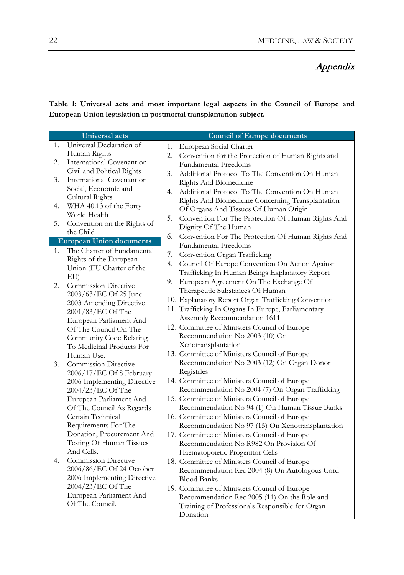# Appendix

**Table 1: Universal acts and most important legal aspects in the Council of Europe and European Union legislation in postmortal transplantation subject.**

| Universal acts                  |                                           | <b>Council of Europe documents</b>                      |  |  |
|---------------------------------|-------------------------------------------|---------------------------------------------------------|--|--|
| 1.                              | Universal Declaration of                  | European Social Charter<br>1.                           |  |  |
|                                 | Human Rights                              | 2.<br>Convention for the Protection of Human Rights and |  |  |
| 2.                              | International Covenant on                 | <b>Fundamental Freedoms</b>                             |  |  |
|                                 | Civil and Political Rights                | Additional Protocol To The Convention On Human<br>3.    |  |  |
| 3.                              | International Covenant on                 | Rights And Biomedicine                                  |  |  |
|                                 | Social, Economic and                      | Additional Protocol To The Convention On Human<br>4.    |  |  |
|                                 | Cultural Rights                           | Rights And Biomedicine Concerning Transplantation       |  |  |
| 4.                              | WHA 40.13 of the Forty                    | Of Organs And Tissues Of Human Origin                   |  |  |
|                                 | World Health                              | 5.<br>Convention For The Protection Of Human Rights And |  |  |
| 5.                              | Convention on the Rights of               | Dignity Of The Human                                    |  |  |
|                                 | the Child                                 | 6.<br>Convention For The Protection Of Human Rights And |  |  |
| <b>European Union documents</b> |                                           | <b>Fundamental Freedoms</b>                             |  |  |
| 1.                              | The Charter of Fundamental                | Convention Organ Trafficking<br>7.                      |  |  |
|                                 | Rights of the European                    | 8.<br>Council Of Europe Convention On Action Against    |  |  |
|                                 | Union (EU Charter of the                  | Trafficking In Human Beings Explanatory Report          |  |  |
|                                 | EU                                        | European Agreement On The Exchange Of<br>9.             |  |  |
| 2.                              | <b>Commission Directive</b>               | Therapeutic Substances Of Human                         |  |  |
|                                 | 2003/63/EC Of 25 June                     | 10. Explanatory Report Organ Trafficking Convention     |  |  |
|                                 | 2003 Amending Directive                   | 11. Trafficking In Organs In Europe, Parliamentary      |  |  |
|                                 | 2001/83/EC Of The                         | Assembly Recommendation 1611                            |  |  |
|                                 | European Parliament And                   | 12. Committee of Ministers Council of Europe            |  |  |
|                                 | Of The Council On The                     | Recommendation No 2003 (10) On                          |  |  |
|                                 | Community Code Relating                   | Xenotransplantation                                     |  |  |
|                                 | To Medicinal Products For                 | 13. Committee of Ministers Council of Europe            |  |  |
| 3.                              | Human Use.<br><b>Commission Directive</b> | Recommendation No 2003 (12) On Organ Donor              |  |  |
|                                 | 2006/17/EC Of 8 February                  | Registries                                              |  |  |
|                                 | 2006 Implementing Directive               | 14. Committee of Ministers Council of Europe            |  |  |
|                                 | 2004/23/EC Of The                         | Recommendation No 2004 (7) On Organ Trafficking         |  |  |
|                                 | European Parliament And                   | 15. Committee of Ministers Council of Europe            |  |  |
|                                 | Of The Council As Regards                 | Recommendation No 94 (1) On Human Tissue Banks          |  |  |
|                                 | Certain Technical                         | 16. Committee of Ministers Council of Europe            |  |  |
|                                 | Requirements For The                      | Recommendation No 97 (15) On Xenotransplantation        |  |  |
|                                 | Donation, Procurement And                 | 17. Committee of Ministers Council of Europe            |  |  |
|                                 | Testing Of Human Tissues                  | Recommendation No R982 On Provision Of                  |  |  |
|                                 | And Cells.                                | Haematopoietic Progenitor Cells                         |  |  |
| 4.                              | <b>Commission Directive</b>               | 18. Committee of Ministers Council of Europe            |  |  |
|                                 | 2006/86/EC Of 24 October                  | Recommendation Rec 2004 (8) On Autologous Cord          |  |  |
|                                 | 2006 Implementing Directive               | <b>Blood Banks</b>                                      |  |  |
|                                 | 2004/23/EC Of The                         | 19. Committee of Ministers Council of Europe            |  |  |
|                                 | European Parliament And                   | Recommendation Rec 2005 (11) On the Role and            |  |  |
|                                 | Of The Council.                           | Training of Professionals Responsible for Organ         |  |  |
|                                 |                                           | Donation                                                |  |  |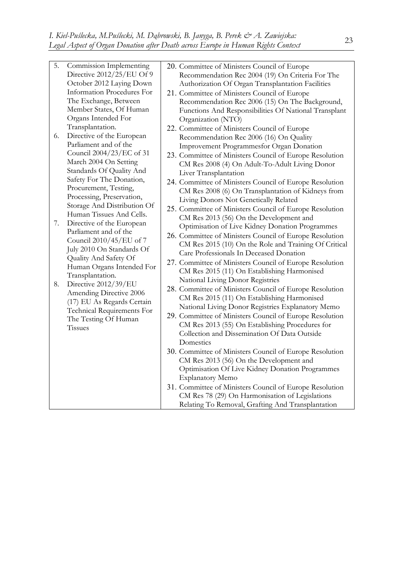| 5.<br>6.<br>7.<br>8. | Commission Implementing<br>Directive 2012/25/EU Of 9<br>October 2012 Laying Down<br>Information Procedures For<br>The Exchange, Between<br>Member States, Of Human<br>Organs Intended For<br>Transplantation.<br>Directive of the European<br>Parliament and of the<br>Council 2004/23/EC of 31<br>March 2004 On Setting<br>Standards Of Quality And<br>Safety For The Donation,<br>Procurement, Testing,<br>Processing, Preservation,<br>Storage And Distribution Of<br>Human Tissues And Cells.<br>Directive of the European<br>Parliament and of the<br>Council 2010/45/EU of 7<br>July 2010 On Standards Of<br>Quality And Safety Of<br>Human Organs Intended For<br>Transplantation.<br>Directive 2012/39/EU<br>Amending Directive 2006<br>(17) EU As Regards Certain<br>Technical Requirements For<br>The Testing Of Human<br><b>Tissues</b> | 20. Committee of Ministers Council of Europe<br>Recommendation Rec 2004 (19) On Criteria For The<br>Authorization Of Organ Transplantation Facilities<br>21. Committee of Ministers Council of Europe<br>Recommendation Rec 2006 (15) On The Background,<br>Functions And Responsibilities Of National Transplant<br>Organization (NTO)<br>22. Committee of Ministers Council of Europe<br>Recommendation Rec 2006 (16) On Quality<br>Improvement Programmesfor Organ Donation<br>23. Committee of Ministers Council of Europe Resolution<br>CM Res 2008 (4) On Adult-To-Adult Living Donor<br>Liver Transplantation<br>24. Committee of Ministers Council of Europe Resolution<br>CM Res 2008 (6) On Transplantation of Kidneys from<br>Living Donors Not Genetically Related<br>25. Committee of Ministers Council of Europe Resolution<br>CM Res 2013 (56) On the Development and<br>Optimisation of Live Kidney Donation Programmes<br>26. Committee of Ministers Council of Europe Resolution<br>CM Res 2015 (10) On the Role and Training Of Critical<br>Care Professionals In Deceased Donation<br>27. Committee of Ministers Council of Europe Resolution<br>CM Res 2015 (11) On Establishing Harmonised<br>National Living Donor Registries<br>28. Committee of Ministers Council of Europe Resolution<br>CM Res 2015 (11) On Establishing Harmonised<br>National Living Donor Registries Explanatory Memo<br>29. Committee of Ministers Council of Europe Resolution<br>CM Res 2013 (55) On Establishing Procedures for<br>Collection and Dissemination Of Data Outside<br>Domestics<br>30. Committee of Ministers Council of Europe Resolution<br>CM Res 2013 (56) On the Development and |
|----------------------|----------------------------------------------------------------------------------------------------------------------------------------------------------------------------------------------------------------------------------------------------------------------------------------------------------------------------------------------------------------------------------------------------------------------------------------------------------------------------------------------------------------------------------------------------------------------------------------------------------------------------------------------------------------------------------------------------------------------------------------------------------------------------------------------------------------------------------------------------|------------------------------------------------------------------------------------------------------------------------------------------------------------------------------------------------------------------------------------------------------------------------------------------------------------------------------------------------------------------------------------------------------------------------------------------------------------------------------------------------------------------------------------------------------------------------------------------------------------------------------------------------------------------------------------------------------------------------------------------------------------------------------------------------------------------------------------------------------------------------------------------------------------------------------------------------------------------------------------------------------------------------------------------------------------------------------------------------------------------------------------------------------------------------------------------------------------------------------------------------------------------------------------------------------------------------------------------------------------------------------------------------------------------------------------------------------------------------------------------------------------------------------------------------------------------------------------------------------------------------------------------------------------------------------------------------------|
|                      |                                                                                                                                                                                                                                                                                                                                                                                                                                                                                                                                                                                                                                                                                                                                                                                                                                                    |                                                                                                                                                                                                                                                                                                                                                                                                                                                                                                                                                                                                                                                                                                                                                                                                                                                                                                                                                                                                                                                                                                                                                                                                                                                                                                                                                                                                                                                                                                                                                                                                                                                                                                      |
|                      |                                                                                                                                                                                                                                                                                                                                                                                                                                                                                                                                                                                                                                                                                                                                                                                                                                                    | Optimisation Of Live Kidney Donation Programmes                                                                                                                                                                                                                                                                                                                                                                                                                                                                                                                                                                                                                                                                                                                                                                                                                                                                                                                                                                                                                                                                                                                                                                                                                                                                                                                                                                                                                                                                                                                                                                                                                                                      |
|                      |                                                                                                                                                                                                                                                                                                                                                                                                                                                                                                                                                                                                                                                                                                                                                                                                                                                    | <b>Explanatory Memo</b>                                                                                                                                                                                                                                                                                                                                                                                                                                                                                                                                                                                                                                                                                                                                                                                                                                                                                                                                                                                                                                                                                                                                                                                                                                                                                                                                                                                                                                                                                                                                                                                                                                                                              |
|                      |                                                                                                                                                                                                                                                                                                                                                                                                                                                                                                                                                                                                                                                                                                                                                                                                                                                    | 31. Committee of Ministers Council of Europe Resolution                                                                                                                                                                                                                                                                                                                                                                                                                                                                                                                                                                                                                                                                                                                                                                                                                                                                                                                                                                                                                                                                                                                                                                                                                                                                                                                                                                                                                                                                                                                                                                                                                                              |
|                      |                                                                                                                                                                                                                                                                                                                                                                                                                                                                                                                                                                                                                                                                                                                                                                                                                                                    | CM Res 78 (29) On Harmonisation of Legislations                                                                                                                                                                                                                                                                                                                                                                                                                                                                                                                                                                                                                                                                                                                                                                                                                                                                                                                                                                                                                                                                                                                                                                                                                                                                                                                                                                                                                                                                                                                                                                                                                                                      |
|                      |                                                                                                                                                                                                                                                                                                                                                                                                                                                                                                                                                                                                                                                                                                                                                                                                                                                    | Relating To Removal, Grafting And Transplantation                                                                                                                                                                                                                                                                                                                                                                                                                                                                                                                                                                                                                                                                                                                                                                                                                                                                                                                                                                                                                                                                                                                                                                                                                                                                                                                                                                                                                                                                                                                                                                                                                                                    |
|                      |                                                                                                                                                                                                                                                                                                                                                                                                                                                                                                                                                                                                                                                                                                                                                                                                                                                    |                                                                                                                                                                                                                                                                                                                                                                                                                                                                                                                                                                                                                                                                                                                                                                                                                                                                                                                                                                                                                                                                                                                                                                                                                                                                                                                                                                                                                                                                                                                                                                                                                                                                                                      |